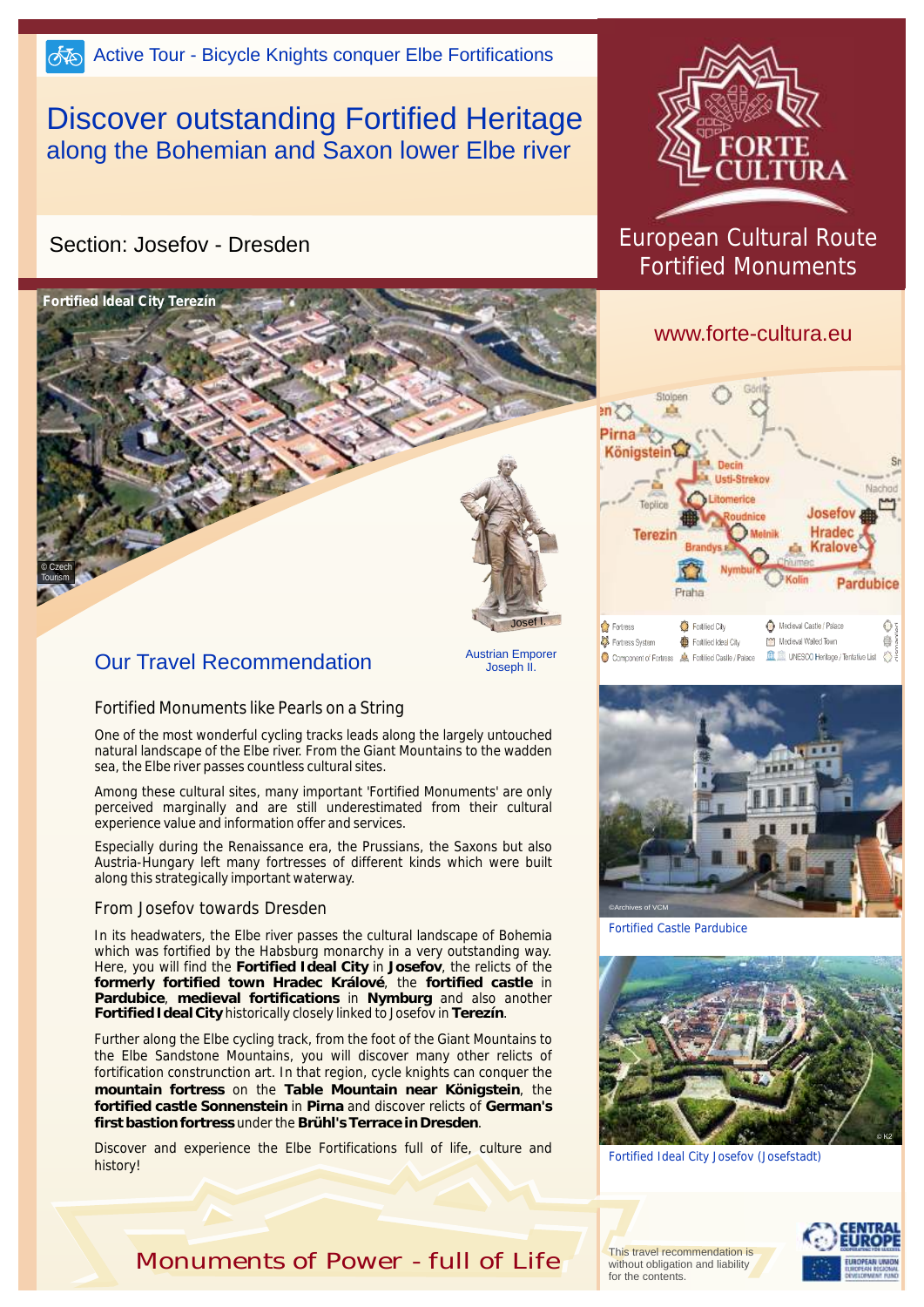# Discover outstanding Fortified Heritage along the Bohemian and Saxon lower Elbe river

### Section: Josefov - Dresden



## Our Travel Recommendation

Austrian Emporer Joseph II.

#### Fortified Monuments like Pearls on a String

One of the most wonderful cycling tracks leads along the largely untouched natural landscape of the Elbe river. From the Giant Mountains to the wadden sea, the Elbe river passes countless cultural sites.

Among these cultural sites, many important 'Fortified Monuments' are only perceived marginally and are still underestimated from their cultural experience value and information offer and services.

Especially during the Renaissance era, the Prussians, the Saxons but also Austria-Hungary left many fortresses of different kinds which were built along this strategically important waterway.

#### From Josefov towards Dresden

In its headwaters, the Elbe river passes the cultural landscape of Bohemia which was fortified by the Habsburg monarchy in a very outstanding way. Here, you will find the **Fortified Ideal City** in **Josefov**, the relicts of the **formerly fortified town Hradec Králové**, the **fortified castle** in **Pardubice**, **medieval fortifications** in **Nymburg** and also another **Fortified Ideal City** historically closely linked to Josefov in **Terezín**.

Further along the Elbe cycling track, from the foot of the Giant Mountains to the Elbe Sandstone Mountains, you will discover many other relicts of fortification construnction art. In that region, cycle knights can conquer the **mountain fortress** on the **Table Mountain near Königstein**, the **fortified castle Sonnenstein** in **Pirna** and discover relicts of **German's first bastion fortress** under the **Brühl's Terrace in Dresden**.

Discover and experience the Elbe Fortifications full of life, culture and history!



## European Cultural Route Fortified Monuments

### www.forte-cultura.eu





Fortified Castle Pardubice



Fortified Ideal City Josefov (Josefstadt)

This travel recommendation is without obligation and liability for the contents.



*Monuments of Power - full of Life*